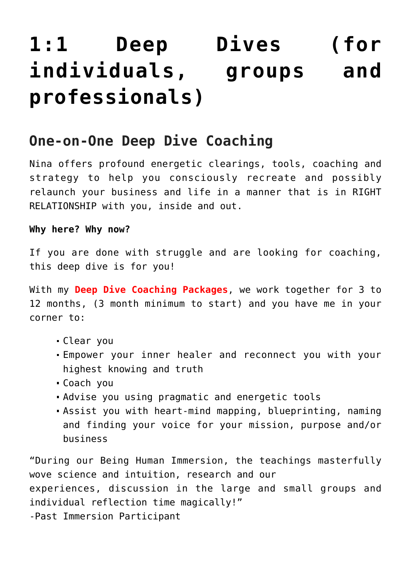# **[1:1 Deep Dives \(for](https://beinghumanlife.com/work-with-nina/11-deep-dives-for-individuals-groups-and-professionals/) [individuals, groups and](https://beinghumanlife.com/work-with-nina/11-deep-dives-for-individuals-groups-and-professionals/) [professionals\)](https://beinghumanlife.com/work-with-nina/11-deep-dives-for-individuals-groups-and-professionals/)**

#### **One-on-One Deep Dive Coaching**

Nina offers profound energetic clearings, tools, coaching and strategy to help you consciously recreate and possibly relaunch your business and life in a manner that is in RIGHT RELATIONSHIP with you, inside and out.

#### **Why here? Why now?**

If you are done with struggle and are looking for coaching, this deep dive is for you!

With my **Deep Dive Coaching Packages**, we work together for 3 to 12 months, (3 month minimum to start) and you have me in your corner to:

- Clear you
- Empower your inner healer and reconnect you with your highest knowing and truth
- Coach you
- Advise you using pragmatic and energetic tools
- Assist you with heart-mind mapping, blueprinting, naming and finding your voice for your mission, purpose and/or business

"During our Being Human Immersion, the teachings masterfully wove science and intuition, research and our experiences, discussion in the large and small groups and individual reflection time magically!" -Past Immersion Participant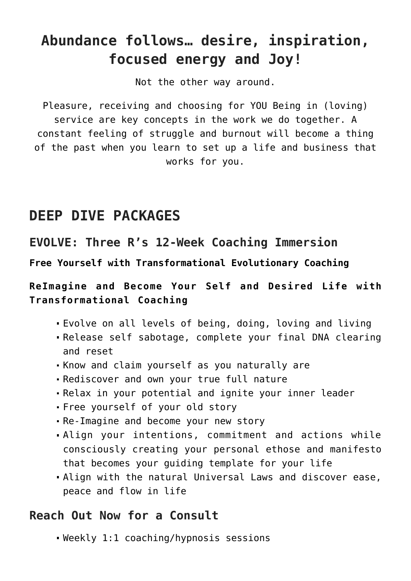### **Abundance follows… desire, inspiration, focused energy and Joy!**

Not the other way around.

Pleasure, receiving and choosing for YOU Being in (loving) service are key concepts in the work we do together. A constant feeling of struggle and burnout will become a thing of the past when you learn to set up a life and business that works for you.

#### **DEEP DIVE PACKAGES**

#### **EVOLVE: Three R's 12-Week Coaching Immersion**

**Free Yourself with Transformational Evolutionary Coaching** 

**ReImagine and Become Your Self and Desired Life with Transformational Coaching**

- Evolve on all levels of being, doing, loving and living
- Release self sabotage, complete your final DNA clearing and reset
- Know and claim yourself as you naturally are
- Rediscover and own your true full nature
- Relax in your potential and ignite your inner leader
- Free yourself of your old story
- Re-Imagine and become your new story
- Align your intentions, commitment and actions while consciously creating your personal ethose and manifesto that becomes your guiding template for your life
- Align with the natural Universal Laws and discover ease, peace and flow in life

#### **Reach Out Now for a Consult**

Weekly 1:1 coaching/hypnosis sessions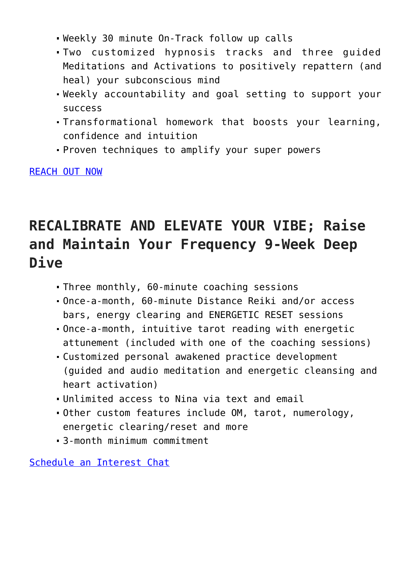- Weekly 30 minute On-Track follow up calls
- Two customized hypnosis tracks and three guided Meditations and Activations to positively repattern (and heal) your subconscious mind
- Weekly accountability and goal setting to support your success
- Transformational homework that boosts your learning, confidence and intuition
- Proven techniques to amplify your super powers

[REACH OUT NOW](http://beinghumanlife.com/contact/)

### **RECALIBRATE AND ELEVATE YOUR VIBE; Raise and Maintain Your Frequency 9-Week Deep Dive**

- Three monthly, 60-minute coaching sessions
- Once-a-month, 60-minute Distance Reiki and/or access bars, energy clearing and ENERGETIC RESET sessions
- Once-a-month, intuitive tarot reading with energetic attunement (included with one of the coaching sessions)
- Customized personal awakened practice development (guided and audio meditation and energetic cleansing and heart activation)
- Unlimited access to Nina via text and email
- Other custom features include OM, tarot, numerology, energetic clearing/reset and more
- 3-month minimum commitment

[Schedule an Interest Chat](http://beinghumanlife.com/contact/)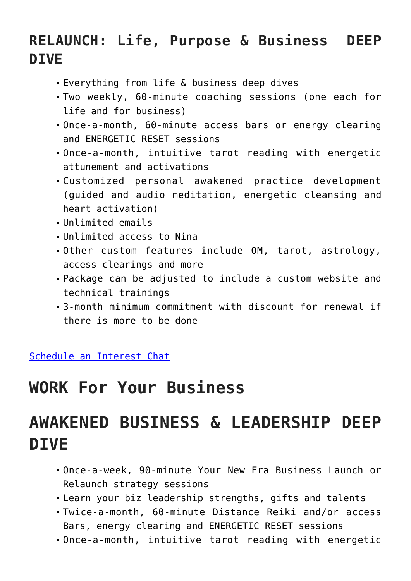### **RELAUNCH: Life, Purpose & Business DEEP DIVE**

- Everything from life & business deep dives
- Two weekly, 60-minute coaching sessions (one each for life and for business)
- Once-a-month, 60-minute access bars or energy clearing and ENERGETIC RESET sessions
- Once-a-month, intuitive tarot reading with energetic attunement and activations
- Customized personal awakened practice development (guided and audio meditation, energetic cleansing and heart activation)
- Unlimited emails
- Unlimited access to Nina
- Other custom features include OM, tarot, astrology, access clearings and more
- Package can be adjusted to include a custom website and technical trainings
- 3-month minimum commitment with discount for renewal if there is more to be done

[Schedule an Interest Chat](http://beinghumanlife.com/contact/)

## **WORK For Your Business**

# **AWAKENED BUSINESS & LEADERSHIP DEEP DIVE**

- Once-a-week, 90-minute Your New Era Business Launch or Relaunch strategy sessions
- Learn your biz leadership strengths, gifts and talents
- Twice-a-month, 60-minute Distance Reiki and/or access Bars, energy clearing and ENERGETIC RESET sessions
- Once-a-month, intuitive tarot reading with energetic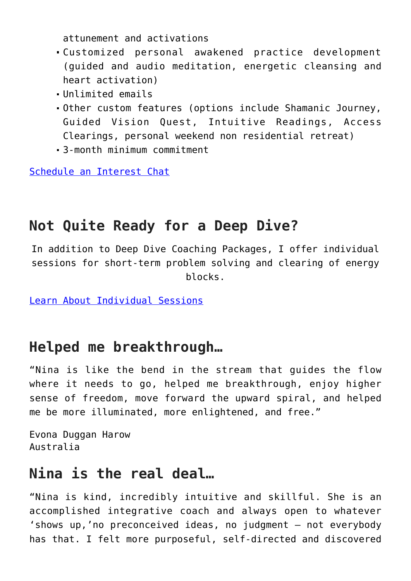attunement and activations

- Customized personal awakened practice development (guided and audio meditation, energetic cleansing and heart activation)
- Unlimited emails
- Other custom features (options include Shamanic Journey, Guided Vision Quest, Intuitive Readings, Access Clearings, personal weekend non residential retreat)
- 3-month minimum commitment

[Schedule an Interest Chat](http://beinghumanlife.com/contact/)

#### **Not Quite Ready for a Deep Dive?**

In addition to Deep Dive Coaching Packages, I offer individual sessions for short-term problem solving and clearing of energy blocks.

[Learn About Individual Sessions](http://beinghumanlife.com/work-with-nina/single-sessions-with-nina/)

#### **Helped me breakthrough…**

"Nina is like the bend in the stream that guides the flow where it needs to go, helped me breakthrough, enjoy higher sense of freedom, move forward the upward spiral, and helped me be more illuminated, more enlightened, and free."

Evona Duggan Harow Australia

#### **Nina is the real deal…**

"Nina is kind, incredibly intuitive and skillful. She is an accomplished integrative coach and always open to whatever 'shows up,'no preconceived ideas, no judgment — not everybody has that. I felt more purposeful, self-directed and discovered